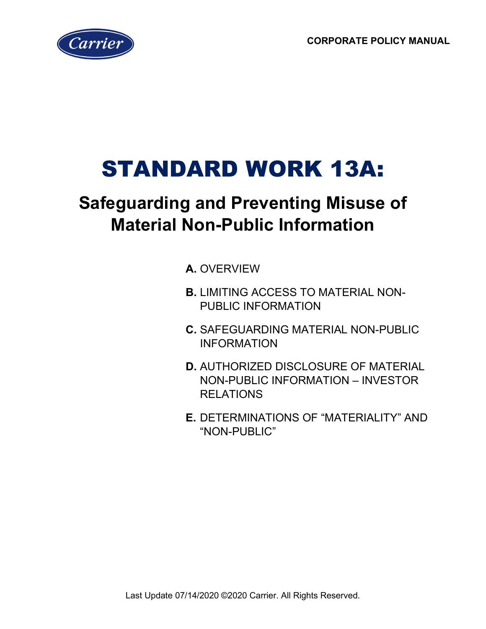

# STANDARD WORK 13A:

# **Safeguarding and Preventing Misuse of Material Non-Public Information**

**A.** OVERVIEW

- **B.** LIMITING ACCESS TO MATERIAL NON-PUBLIC INFORMATION
- **C.** SAFEGUARDING MATERIAL NON-PUBLIC INFORMATION
- **D.** AUTHORIZED DISCLOSURE OF MATERIAL NON-PUBLIC INFORMATION – INVESTOR RELATIONS
- **E.** DETERMINATIONS OF "MATERIALITY" AND "NON-PUBLIC"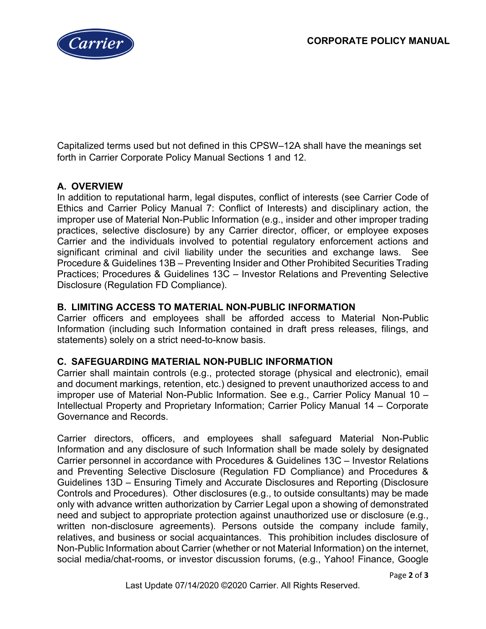

Capitalized terms used but not defined in this CPSW–12A shall have the meanings set forth in Carrier Corporate Policy Manual Sections 1 and 12.

## **A. OVERVIEW**

In addition to reputational harm, legal disputes, conflict of interests (see Carrier Code of Ethics and Carrier Policy Manual 7: Conflict of Interests) and disciplinary action, the improper use of Material Non-Public Information (e.g., insider and other improper trading practices, selective disclosure) by any Carrier director, officer, or employee exposes Carrier and the individuals involved to potential regulatory enforcement actions and significant criminal and civil liability under the securities and exchange laws. See Procedure & Guidelines 13B – Preventing Insider and Other Prohibited Securities Trading Practices; Procedures & Guidelines 13C – Investor Relations and Preventing Selective Disclosure (Regulation FD Compliance).

### **B. LIMITING ACCESS TO MATERIAL NON-PUBLIC INFORMATION**

Carrier officers and employees shall be afforded access to Material Non-Public Information (including such Information contained in draft press releases, filings, and statements) solely on a strict need-to-know basis.

#### **C. SAFEGUARDING MATERIAL NON-PUBLIC INFORMATION**

Carrier shall maintain controls (e.g., protected storage (physical and electronic), email and document markings, retention, etc.) designed to prevent unauthorized access to and improper use of Material Non-Public Information. See e.g., Carrier Policy Manual 10 – Intellectual Property and Proprietary Information; Carrier Policy Manual 14 – Corporate Governance and Records.

Carrier directors, officers, and employees shall safeguard Material Non-Public Information and any disclosure of such Information shall be made solely by designated Carrier personnel in accordance with Procedures & Guidelines 13C – Investor Relations and Preventing Selective Disclosure (Regulation FD Compliance) and Procedures & Guidelines 13D – Ensuring Timely and Accurate Disclosures and Reporting (Disclosure Controls and Procedures). Other disclosures (e.g., to outside consultants) may be made only with advance written authorization by Carrier Legal upon a showing of demonstrated need and subject to appropriate protection against unauthorized use or disclosure (e.g., written non-disclosure agreements). Persons outside the company include family, relatives, and business or social acquaintances. This prohibition includes disclosure of Non-Public Information about Carrier (whether or not Material Information) on the internet, social media/chat-rooms, or investor discussion forums, (e.g., Yahoo! Finance, Google